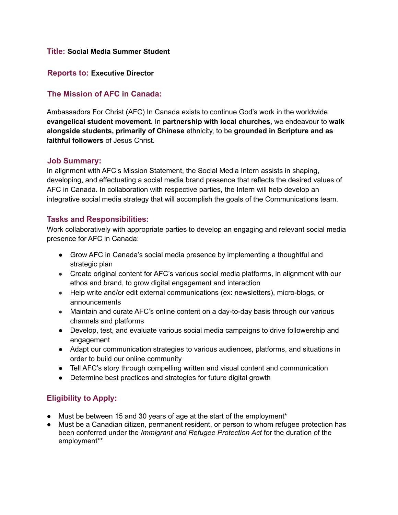#### **Title: Social Media Summer Student**

#### **Reports to: Executive Director**

## **The Mission of AFC in Canada:**

Ambassadors For Christ (AFC) In Canada exists to continue God's work in the worldwide **evangelical student movement**. In **partnership with local churches,** we endeavour to **walk alongside students, primarily of Chinese** ethnicity, to be **grounded in Scripture and as** f**aithful followers** of Jesus Christ.

#### **Job Summary:**

In alignment with AFC's Mission Statement, the Social Media Intern assists in shaping, developing, and effectuating a social media brand presence that reflects the desired values of AFC in Canada. In collaboration with respective parties, the Intern will help develop an integrative social media strategy that will accomplish the goals of the Communications team.

### **Tasks and Responsibilities:**

Work collaboratively with appropriate parties to develop an engaging and relevant social media presence for AFC in Canada:

- Grow AFC in Canada's social media presence by implementing a thoughtful and strategic plan
- Create original content for AFC's various social media platforms, in alignment with our ethos and brand, to grow digital engagement and interaction
- Help write and/or edit external communications (ex: newsletters), micro-blogs, or announcements
- Maintain and curate AFC's online content on a day-to-day basis through our various channels and platforms
- Develop, test, and evaluate various social media campaigns to drive followership and engagement
- Adapt our communication strategies to various audiences, platforms, and situations in order to build our online community
- Tell AFC's story through compelling written and visual content and communication
- Determine best practices and strategies for future digital growth

# **Eligibility to Apply:**

- Must be between 15 and 30 years of age at the start of the employment\*
- Must be a Canadian citizen, permanent resident, or person to whom refugee protection has been conferred under the *Immigrant and Refugee Protection Act* for the duration of the employment\*\*